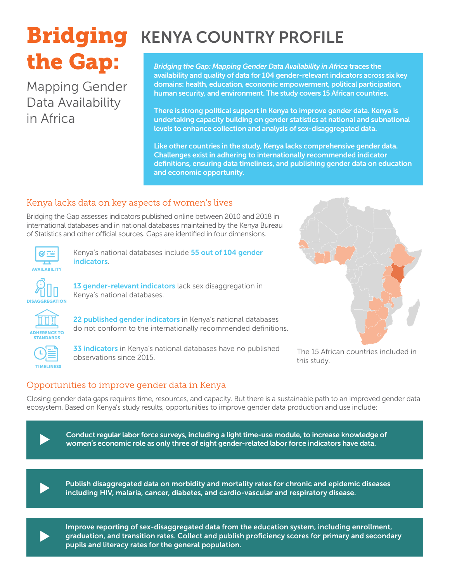# the Gap:

Mapping Gender Data Availability in Africa

# **Bridging** KENYA COUNTRY PROFILE

*Bridging the Gap: Mapping Gender Data Availability in Africa* traces the availability and quality of data for 104 gender-relevant indicators across six key domains: health, education, economic empowerment, political participation, human security, and environment. The study covers 15 African countries.

There is strong political support in Kenya to improve gender data. Kenya is undertaking capacity building on gender statistics at national and subnational levels to enhance collection and analysis of sex-disaggregated data.

Like other countries in the study, Kenya lacks comprehensive gender data. Challenges exist in adhering to internationally recommended indicator definitions, ensuring data timeliness, and publishing gender data on education and economic opportunity.

# Kenya lacks data on key aspects of women's lives

Bridging the Gap assesses indicators published online between 2010 and 2018 in international databases and in national databases maintained by the Kenya Bureau of Statistics and other official sources. Gaps are identified in four dimensions.



Kenya's national databases include 55 out of 104 gender **indicators** 



13 gender-relevant indicators lack sex disaggregation in Kenya's national databases.



22 published gender indicators in Kenya's national databases do not conform to the internationally recommended definitions.



33 indicators in Kenya's national databases have no published observations since 2015.



The 15 African countries included in this study.

# Opportunities to improve gender data in Kenya

Closing gender data gaps requires time, resources, and capacity. But there is a sustainable path to an improved gender data ecosystem. Based on Kenya's study results, opportunities to improve gender data production and use include:



Conduct regular labor force surveys, including a light time-use module, to increase knowledge of women's economic role as only three of eight gender-related labor force indicators have data.



Publish disaggregated data on morbidity and mortality rates for chronic and epidemic diseases including HIV, malaria, cancer, diabetes, and cardio-vascular and respiratory disease.



Improve reporting of sex-disaggregated data from the education system, including enrollment, graduation, and transition rates. Collect and publish proficiency scores for primary and secondary pupils and literacy rates for the general population.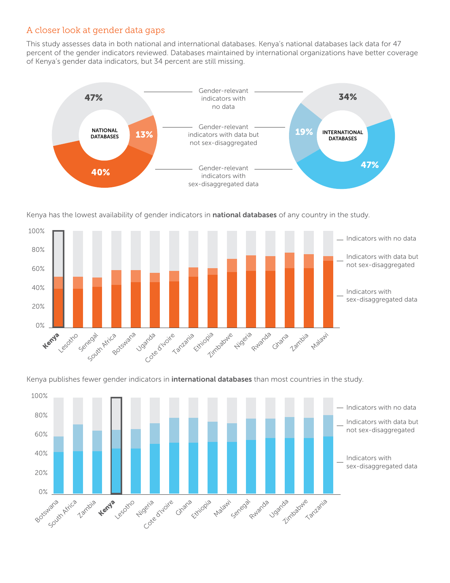# A closer look at gender data gaps

This study assesses data in both national and international databases. Kenya's national databases lack data for 47 percent of the gender indicators reviewed. Databases maintained by international organizations have better coverage of Kenya's gender data indicators, but 34 percent are still missing.



Kenya has the lowest availability of gender indicators in national databases of any country in the study.



Kenya publishes fewer gender indicators in **international databases** than most countries in the study.

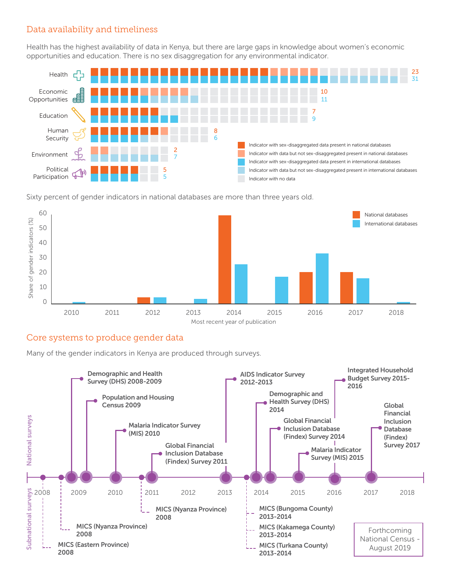### Data availability and timeliness

Health has the highest availability of data in Kenya, but there are large gaps in knowledge about women's economic opportunities and education. There is no sex disaggregation for any environmental indicator.



Sixty percent of gender indicators in national databases are more than three years old.



### Core systems to produce gender data

Many of the gender indicators in Kenya are produced through surveys.